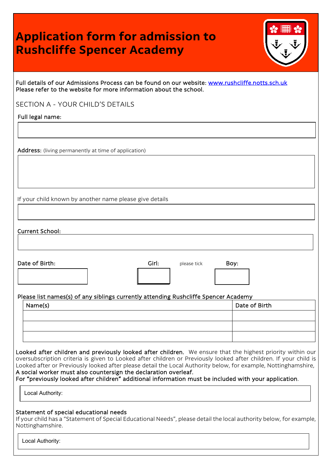## **Application form for admission to Rushcliffe Spencer Academy**

|   | WILD |   |
|---|------|---|
| ٠ | F    | Ē |
|   |      |   |

Full details of our Admissions Process can be found on our website: [www.rushcliffe.notts.sch.uk](http://www.rushcliffe.notts.sch.uk/)  Please refer to the website for more information about the school.

SECTION A - YOUR CHILD'S DETAILS

Full legal name:

Address: (living permanently at time of application)

If your child known by another name please give details

Current School:

Date of Birth: Girl: Boy: Girl: please tick Boy:

Please list names(s) of any siblings currently attending Rushcliffe Spencer Academy

| Name(s) | Date of Birth |
|---------|---------------|
|         |               |
|         |               |
|         |               |

Looked after children and previously looked after children. We ensure that the highest priority within our oversubscription criteria is given to Looked after children or Previously looked after children. If your child is Looked after or Previously looked after please detail the Local Authority below, for example, Nottinghamshire, A social worker must also countersign the declaration overleaf.

For "previously looked after children" additional information must be included with your application.

Local Authority:

## Statement of special educational needs

If your child has a "Statement of Special Educational Needs", please detail the local authority below, for example, Nottinghamshire.

Local Authority: